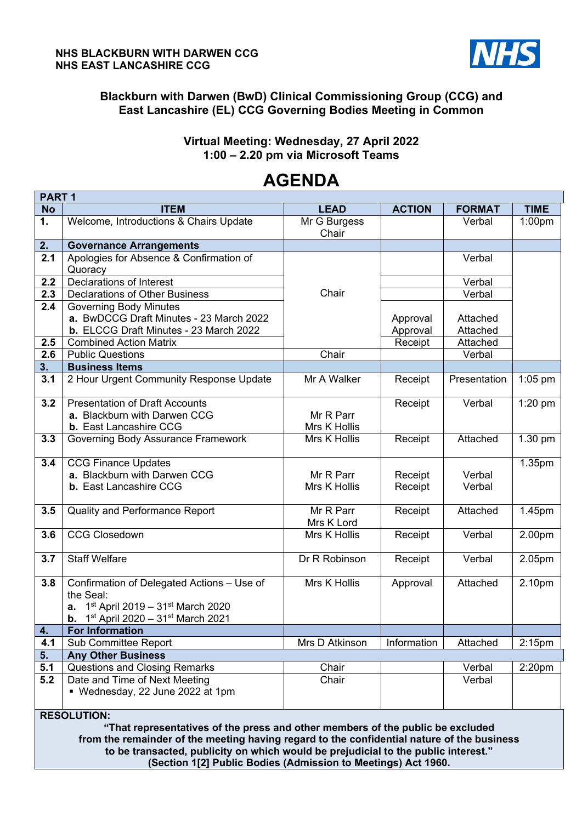

## **Blackburn with Darwen (BwD) Clinical Commissioning Group (CCG) and East Lancashire (EL) CCG Governing Bodies Meeting in Common**

## **Virtual Meeting: Wednesday, 27 April 2022 1:00 – 2.20 pm via Microsoft Teams**

#### **PART 1 No ITEM LEAD ACTION FORMAT TIME 1.** Welcome, Introductions & Chairs Update Mr G Burgess **Chair** Verbal 1:00pm **2. Governance Arrangements 2.1** Apologies for Absence & Confirmation of **Quoracy Chair**  Verbal **2.2** Declarations of Interest Verbal **2.3** Declarations of Other Business Chair Chair Chair Verbal **2.4** Governing Body Minutes **a.** BwDCCG Draft Minutes - 23 March 2022 **b.** ELCCG Draft Minutes - 23 March 2022 Approval Approval Attached Attached **2.5** Combined Action Matrix **Receipt** Receipt Attached **2.6** Public Questions Chair Chair Chair Verbal **3. Business Items 3.1** 2 Hour Urgent Community Response Update Mr A Walker Receipt Presentation 1:05 pm **3.2** Presentation of Draft Accounts **a.** Blackburn with Darwen CCG **b.** East Lancashire CCG Mr R Parr Mrs K Hollis Receipt | Verbal | 1:20 pm **3.3** Governing Body Assurance Framework Mrs K Hollis Receipt Attached 1.30 pm **3.4** CCG Finance Updates **a.** Blackburn with Darwen CCG **b.** East Lancashire CCG Mr R Parr Mrs K Hollis Receipt Receipt Verbal Verbal 1.35pm **3.5 | Quality and Performance Report Mr R Parr** Mrs K Lord Receipt | Attached | 1.45pm **3.6** CCG Closedown **Mrs K Hollis Receipt Verbal 2.00pm 3.7** Staff Welfare **Drive Community Community Community** Dr R Robinson Receipt Verbal 2.05pm **3.8** Confirmation of Delegated Actions – Use of the Seal: **a.** 1st April 2019 – 31st March 2020 **b.** 1<sup>st</sup> April 2020 – 31<sup>st</sup> March 2021 Mrs K Hollis | Approval | Attached | 2.10pm **4. For Information 4.1** Sub Committee Report **Mrs D Atkinson** | Information | Attached | 2:15pm **5. Any Other Business 5.1** Questions and Closing Remarks **Chair** Chair Chair Verbal 2:20pm **5.2** Date and Time of Next Meeting Chair Verbal

# **AGENDA**

**RESOLUTION:** 

Wednesday, 22 June 2022 at 1pm

**"That representatives of the press and other members of the public be excluded from the remainder of the meeting having regard to the confidential nature of the business to be transacted, publicity on which would be prejudicial to the public interest." (Section 1[2] Public Bodies (Admission to Meetings) Act 1960.**